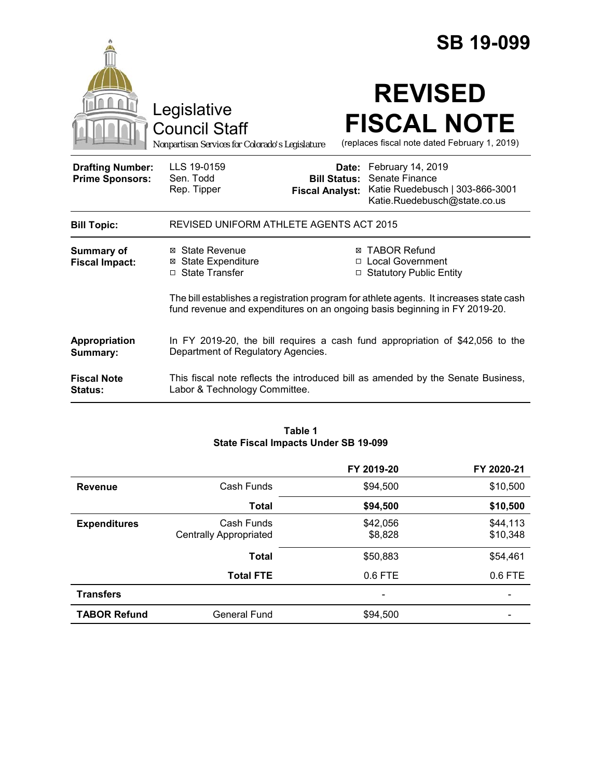|                                                   |                                                                                                                      |                                               | <b>SB 19-099</b>                                                                                                                                                                                                                                |
|---------------------------------------------------|----------------------------------------------------------------------------------------------------------------------|-----------------------------------------------|-------------------------------------------------------------------------------------------------------------------------------------------------------------------------------------------------------------------------------------------------|
|                                                   | Legislative<br><b>Council Staff</b><br>Nonpartisan Services for Colorado's Legislature                               |                                               | <b>REVISED</b><br><b>FISCAL NOTE</b><br>(replaces fiscal note dated February 1, 2019)                                                                                                                                                           |
| <b>Drafting Number:</b><br><b>Prime Sponsors:</b> | LLS 19-0159<br>Sen. Todd<br>Rep. Tipper                                                                              | <b>Bill Status:</b><br><b>Fiscal Analyst:</b> | Date: February 14, 2019<br>Senate Finance<br>Katie Ruedebusch   303-866-3001<br>Katie.Ruedebusch@state.co.us                                                                                                                                    |
| <b>Bill Topic:</b>                                | REVISED UNIFORM ATHLETE AGENTS ACT 2015                                                                              |                                               |                                                                                                                                                                                                                                                 |
| <b>Summary of</b><br><b>Fiscal Impact:</b>        | ⊠ State Revenue<br><b>⊠ State Expenditure</b><br>□ State Transfer                                                    | ⊠                                             | <b>TABOR Refund</b><br>□ Local Government<br>□ Statutory Public Entity<br>The bill establishes a registration program for athlete agents. It increases state cash<br>fund revenue and expenditures on an ongoing basis beginning in FY 2019-20. |
| Appropriation<br>Summary:                         | In FY 2019-20, the bill requires a cash fund appropriation of $$42,056$ to the<br>Department of Regulatory Agencies. |                                               |                                                                                                                                                                                                                                                 |
| <b>Fiscal Note</b><br><b>Status:</b>              | This fiscal note reflects the introduced bill as amended by the Senate Business,<br>Labor & Technology Committee.    |                                               |                                                                                                                                                                                                                                                 |

## **Table 1 State Fiscal Impacts Under SB 19-099**

|                     |                                             | FY 2019-20          | FY 2020-21           |
|---------------------|---------------------------------------------|---------------------|----------------------|
| <b>Revenue</b>      | Cash Funds                                  | \$94,500            | \$10,500             |
|                     | <b>Total</b>                                | \$94,500            | \$10,500             |
| <b>Expenditures</b> | Cash Funds<br><b>Centrally Appropriated</b> | \$42,056<br>\$8,828 | \$44,113<br>\$10,348 |
|                     | <b>Total</b>                                | \$50,883            | \$54,461             |
|                     | <b>Total FTE</b>                            | 0.6 FTE             | $0.6$ FTE            |
| <b>Transfers</b>    |                                             |                     |                      |
| <b>TABOR Refund</b> | <b>General Fund</b>                         | \$94,500            |                      |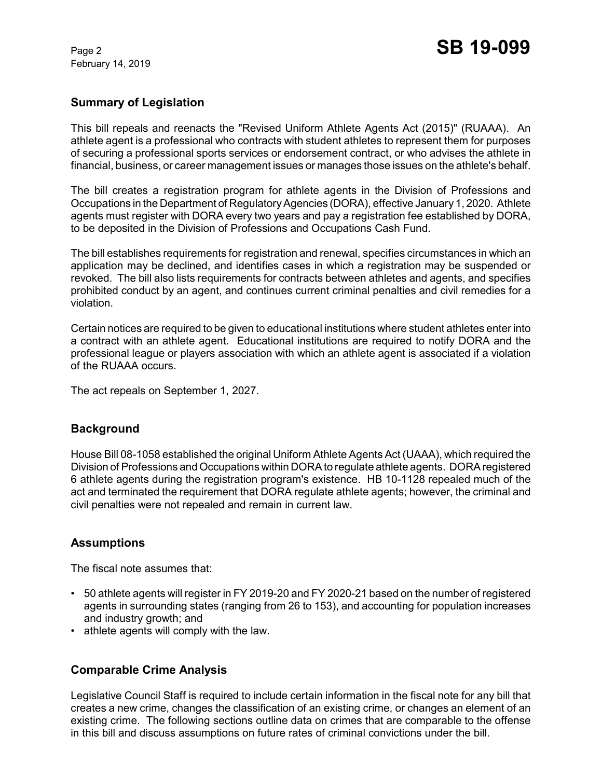# **Summary of Legislation**

This bill repeals and reenacts the "Revised Uniform Athlete Agents Act (2015)" (RUAAA). An athlete agent is a professional who contracts with student athletes to represent them for purposes of securing a professional sports services or endorsement contract, or who advises the athlete in financial, business, or career management issues or manages those issues on the athlete's behalf.

The bill creates a registration program for athlete agents in the Division of Professions and Occupations in the Department of Regulatory Agencies (DORA), effective January 1, 2020. Athlete agents must register with DORA every two years and pay a registration fee established by DORA, to be deposited in the Division of Professions and Occupations Cash Fund.

The bill establishes requirements for registration and renewal, specifies circumstances in which an application may be declined, and identifies cases in which a registration may be suspended or revoked. The bill also lists requirements for contracts between athletes and agents, and specifies prohibited conduct by an agent, and continues current criminal penalties and civil remedies for a violation.

Certain notices are required to be given to educational institutions where student athletes enter into a contract with an athlete agent. Educational institutions are required to notify DORA and the professional league or players association with which an athlete agent is associated if a violation of the RUAAA occurs.

The act repeals on September 1, 2027.

# **Background**

House Bill 08-1058 established the original Uniform Athlete Agents Act (UAAA), which required the Division of Professions and Occupations within DORA to regulate athlete agents. DORA registered 6 athlete agents during the registration program's existence. HB 10-1128 repealed much of the act and terminated the requirement that DORA regulate athlete agents; however, the criminal and civil penalties were not repealed and remain in current law.

# **Assumptions**

The fiscal note assumes that:

- 50 athlete agents will register in FY 2019-20 and FY 2020-21 based on the number of registered agents in surrounding states (ranging from 26 to 153), and accounting for population increases and industry growth; and
- athlete agents will comply with the law.

# **Comparable Crime Analysis**

Legislative Council Staff is required to include certain information in the fiscal note for any bill that creates a new crime, changes the classification of an existing crime, or changes an element of an existing crime. The following sections outline data on crimes that are comparable to the offense in this bill and discuss assumptions on future rates of criminal convictions under the bill.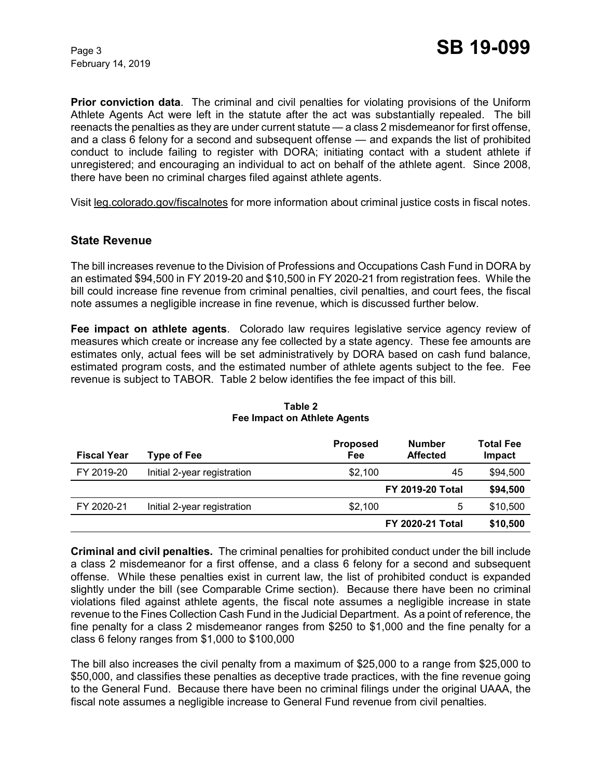**Prior conviction data**. The criminal and civil penalties for violating provisions of the Uniform Athlete Agents Act were left in the statute after the act was substantially repealed. The bill reenacts the penalties as they are under current statute — a class 2 misdemeanor for first offense, and a class 6 felony for a second and subsequent offense — and expands the list of prohibited conduct to include failing to register with DORA; initiating contact with a student athlete if unregistered; and encouraging an individual to act on behalf of the athlete agent. Since 2008, there have been no criminal charges filed against athlete agents.

Visit leg.colorado.gov/fiscalnotes for more information about criminal justice costs in fiscal notes.

### **State Revenue**

The bill increases revenue to the Division of Professions and Occupations Cash Fund in DORA by an estimated \$94,500 in FY 2019-20 and \$10,500 in FY 2020-21 from registration fees. While the bill could increase fine revenue from criminal penalties, civil penalties, and court fees, the fiscal note assumes a negligible increase in fine revenue, which is discussed further below.

**Fee impact on athlete agents**. Colorado law requires legislative service agency review of measures which create or increase any fee collected by a state agency. These fee amounts are estimates only, actual fees will be set administratively by DORA based on cash fund balance, estimated program costs, and the estimated number of athlete agents subject to the fee. Fee revenue is subject to TABOR. Table 2 below identifies the fee impact of this bill.

| <b>Fiscal Year</b> | Type of Fee                 | <b>Proposed</b><br>Fee | <b>Number</b><br><b>Affected</b> | <b>Total Fee</b><br>Impact |
|--------------------|-----------------------------|------------------------|----------------------------------|----------------------------|
| FY 2019-20         | Initial 2-year registration | \$2.100                | 45                               | \$94,500                   |
|                    |                             |                        | <b>FY 2019-20 Total</b>          | \$94,500                   |
| FY 2020-21         | Initial 2-year registration | \$2.100                | 5                                | \$10,500                   |
|                    |                             |                        | <b>FY 2020-21 Total</b>          | \$10,500                   |

#### **Table 2 Fee Impact on Athlete Agents**

**Criminal and civil penalties.**The criminal penalties for prohibited conduct under the bill include a class 2 misdemeanor for a first offense, and a class 6 felony for a second and subsequent offense. While these penalties exist in current law, the list of prohibited conduct is expanded slightly under the bill (see Comparable Crime section). Because there have been no criminal violations filed against athlete agents, the fiscal note assumes a negligible increase in state revenue to the Fines Collection Cash Fund in the Judicial Department. As a point of reference, the fine penalty for a class 2 misdemeanor ranges from \$250 to \$1,000 and the fine penalty for a class 6 felony ranges from \$1,000 to \$100,000

The bill also increases the civil penalty from a maximum of \$25,000 to a range from \$25,000 to \$50,000, and classifies these penalties as deceptive trade practices, with the fine revenue going to the General Fund. Because there have been no criminal filings under the original UAAA, the fiscal note assumes a negligible increase to General Fund revenue from civil penalties.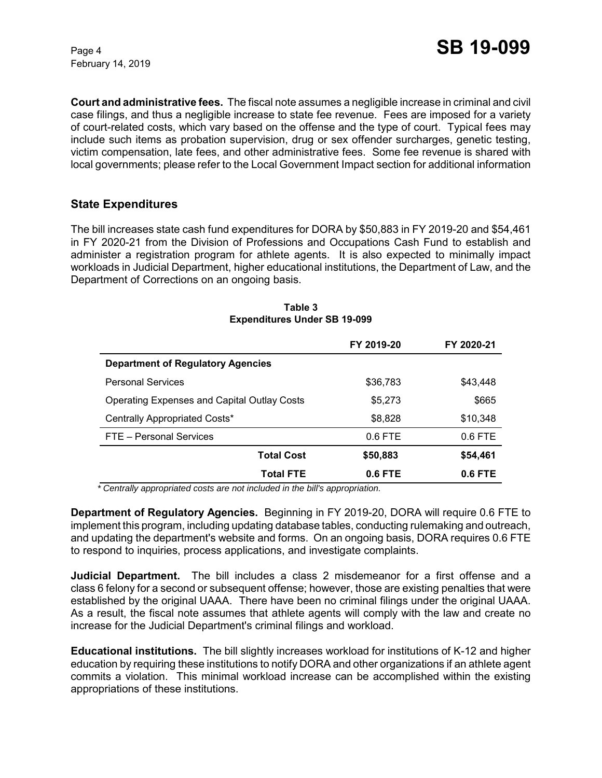**Court and administrative fees.** The fiscal note assumes a negligible increase in criminal and civil case filings, and thus a negligible increase to state fee revenue. Fees are imposed for a variety of court-related costs, which vary based on the offense and the type of court. Typical fees may include such items as probation supervision, drug or sex offender surcharges, genetic testing, victim compensation, late fees, and other administrative fees. Some fee revenue is shared with local governments; please refer to the Local Government Impact section for additional information

## **State Expenditures**

The bill increases state cash fund expenditures for DORA by \$50,883 in FY 2019-20 and \$54,461 in FY 2020-21 from the Division of Professions and Occupations Cash Fund to establish and administer a registration program for athlete agents. It is also expected to minimally impact workloads in Judicial Department, higher educational institutions, the Department of Law, and the Department of Corrections on an ongoing basis.

|                                                    | FY 2019-20 | FY 2020-21 |
|----------------------------------------------------|------------|------------|
| <b>Department of Regulatory Agencies</b>           |            |            |
| <b>Personal Services</b>                           | \$36,783   | \$43,448   |
| <b>Operating Expenses and Capital Outlay Costs</b> | \$5,273    | \$665      |
| Centrally Appropriated Costs*                      | \$8,828    | \$10,348   |
| FTE - Personal Services                            | $0.6$ FTE  | $0.6$ FTE  |
| <b>Total Cost</b>                                  | \$50,883   | \$54,461   |
| Total FTE                                          | $0.6$ FTE  | $0.6$ FTE  |

### **Table 3 Expenditures Under SB 19-099**

 *\* Centrally appropriated costs are not included in the bill's appropriation.*

**Department of Regulatory Agencies.** Beginning in FY 2019-20, DORA will require 0.6 FTE to implement this program, including updating database tables, conducting rulemaking and outreach, and updating the department's website and forms. On an ongoing basis, DORA requires 0.6 FTE to respond to inquiries, process applications, and investigate complaints.

**Judicial Department.** The bill includes a class 2 misdemeanor for a first offense and a class 6 felony for a second or subsequent offense; however, those are existing penalties that were established by the original UAAA. There have been no criminal filings under the original UAAA. As a result, the fiscal note assumes that athlete agents will comply with the law and create no increase for the Judicial Department's criminal filings and workload.

**Educational institutions.** The bill slightly increases workload for institutions of K-12 and higher education by requiring these institutions to notify DORA and other organizations if an athlete agent commits a violation. This minimal workload increase can be accomplished within the existing appropriations of these institutions.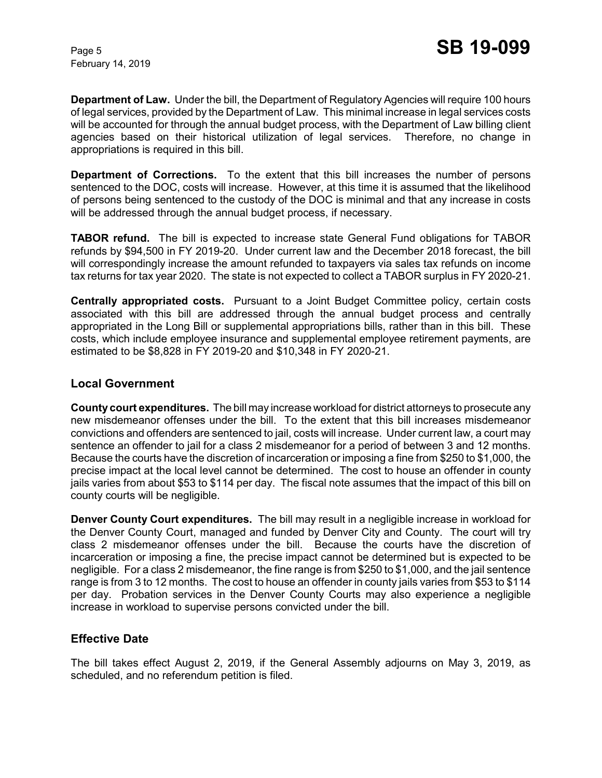**Department of Law.** Under the bill, the Department of Regulatory Agencies will require 100 hours of legal services, provided by the Department of Law. This minimal increase in legal services costs will be accounted for through the annual budget process, with the Department of Law billing client agencies based on their historical utilization of legal services. Therefore, no change in appropriations is required in this bill.

**Department of Corrections.** To the extent that this bill increases the number of persons sentenced to the DOC, costs will increase. However, at this time it is assumed that the likelihood of persons being sentenced to the custody of the DOC is minimal and that any increase in costs will be addressed through the annual budget process, if necessary.

**TABOR refund.** The bill is expected to increase state General Fund obligations for TABOR refunds by \$94,500 in FY 2019-20. Under current law and the December 2018 forecast, the bill will correspondingly increase the amount refunded to taxpayers via sales tax refunds on income tax returns for tax year 2020. The state is not expected to collect a TABOR surplus in FY 2020-21.

**Centrally appropriated costs.** Pursuant to a Joint Budget Committee policy, certain costs associated with this bill are addressed through the annual budget process and centrally appropriated in the Long Bill or supplemental appropriations bills, rather than in this bill. These costs, which include employee insurance and supplemental employee retirement payments, are estimated to be \$8,828 in FY 2019-20 and \$10,348 in FY 2020-21.

## **Local Government**

**County court expenditures.** The bill may increase workload for district attorneys to prosecute any new misdemeanor offenses under the bill. To the extent that this bill increases misdemeanor convictions and offenders are sentenced to jail, costs will increase. Under current law, a court may sentence an offender to jail for a class 2 misdemeanor for a period of between 3 and 12 months. Because the courts have the discretion of incarceration or imposing a fine from \$250 to \$1,000, the precise impact at the local level cannot be determined. The cost to house an offender in county jails varies from about \$53 to \$114 per day. The fiscal note assumes that the impact of this bill on county courts will be negligible.

**Denver County Court expenditures.** The bill may result in a negligible increase in workload for the Denver County Court, managed and funded by Denver City and County. The court will try class 2 misdemeanor offenses under the bill. Because the courts have the discretion of incarceration or imposing a fine, the precise impact cannot be determined but is expected to be negligible. For a class 2 misdemeanor, the fine range is from \$250 to \$1,000, and the jail sentence range is from 3 to 12 months. The cost to house an offender in county jails varies from \$53 to \$114 per day. Probation services in the Denver County Courts may also experience a negligible increase in workload to supervise persons convicted under the bill.

## **Effective Date**

The bill takes effect August 2, 2019, if the General Assembly adjourns on May 3, 2019, as scheduled, and no referendum petition is filed.